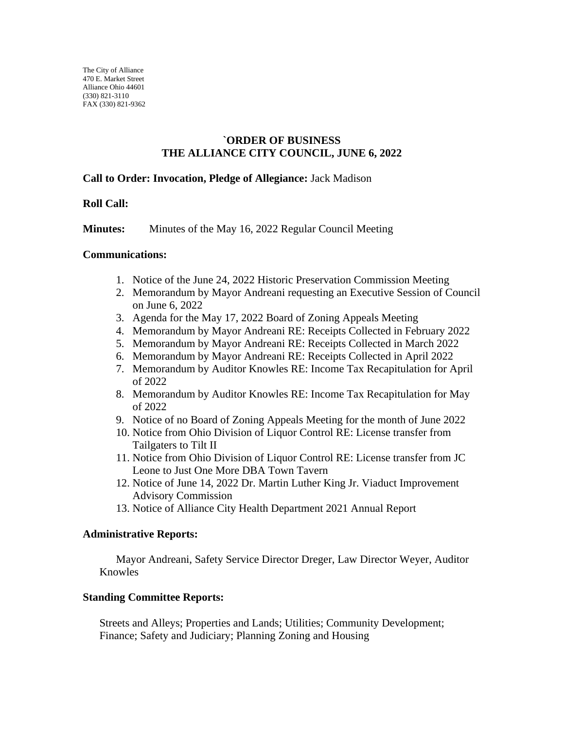# **`ORDER OF BUSINESS THE ALLIANCE CITY COUNCIL, JUNE 6, 2022**

## **Call to Order: Invocation, Pledge of Allegiance:** Jack Madison

## **Roll Call:**

**Minutes:** Minutes of the May 16, 2022 Regular Council Meeting

#### **Communications:**

- 1. Notice of the June 24, 2022 Historic Preservation Commission Meeting
- 2. Memorandum by Mayor Andreani requesting an Executive Session of Council on June 6, 2022
- 3. Agenda for the May 17, 2022 Board of Zoning Appeals Meeting
- 4. Memorandum by Mayor Andreani RE: Receipts Collected in February 2022
- 5. Memorandum by Mayor Andreani RE: Receipts Collected in March 2022
- 6. Memorandum by Mayor Andreani RE: Receipts Collected in April 2022
- 7. Memorandum by Auditor Knowles RE: Income Tax Recapitulation for April of 2022
- 8. Memorandum by Auditor Knowles RE: Income Tax Recapitulation for May of 2022
- 9. Notice of no Board of Zoning Appeals Meeting for the month of June 2022
- 10. Notice from Ohio Division of Liquor Control RE: License transfer from Tailgaters to Tilt II
- 11. Notice from Ohio Division of Liquor Control RE: License transfer from JC Leone to Just One More DBA Town Tavern
- 12. Notice of June 14, 2022 Dr. Martin Luther King Jr. Viaduct Improvement Advisory Commission
- 13. Notice of Alliance City Health Department 2021 Annual Report

#### **Administrative Reports:**

Mayor Andreani, Safety Service Director Dreger, Law Director Weyer, Auditor Knowles

#### **Standing Committee Reports:**

Streets and Alleys; Properties and Lands; Utilities; Community Development; Finance; Safety and Judiciary; Planning Zoning and Housing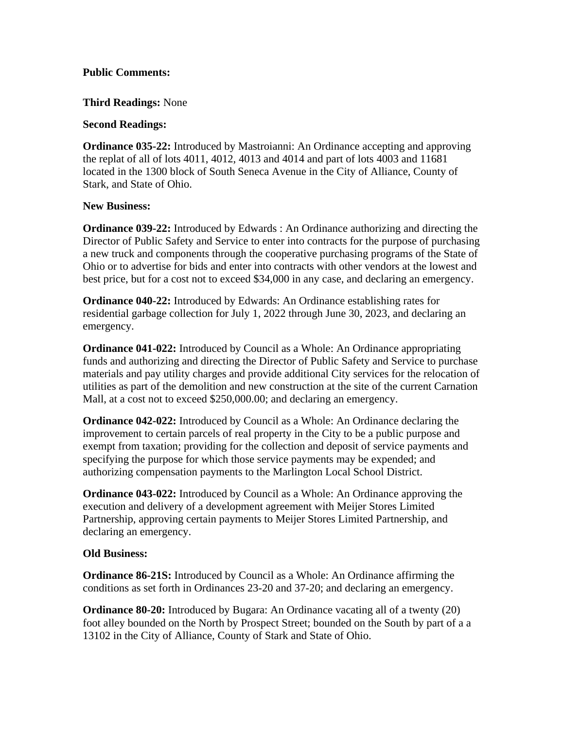## **Public Comments:**

#### **Third Readings:** None

### **Second Readings:**

**Ordinance 035-22:** Introduced by Mastroianni: An Ordinance accepting and approving the replat of all of lots 4011, 4012, 4013 and 4014 and part of lots 4003 and 11681 located in the 1300 block of South Seneca Avenue in the City of Alliance, County of Stark, and State of Ohio.

## **New Business:**

**Ordinance 039-22:** Introduced by Edwards : An Ordinance authorizing and directing the Director of Public Safety and Service to enter into contracts for the purpose of purchasing a new truck and components through the cooperative purchasing programs of the State of Ohio or to advertise for bids and enter into contracts with other vendors at the lowest and best price, but for a cost not to exceed \$34,000 in any case, and declaring an emergency.

**Ordinance 040-22:** Introduced by Edwards: An Ordinance establishing rates for residential garbage collection for July 1, 2022 through June 30, 2023, and declaring an emergency.

**Ordinance 041-022:** Introduced by Council as a Whole: An Ordinance appropriating funds and authorizing and directing the Director of Public Safety and Service to purchase materials and pay utility charges and provide additional City services for the relocation of utilities as part of the demolition and new construction at the site of the current Carnation Mall, at a cost not to exceed \$250,000.00; and declaring an emergency.

**Ordinance 042-022:** Introduced by Council as a Whole: An Ordinance declaring the improvement to certain parcels of real property in the City to be a public purpose and exempt from taxation; providing for the collection and deposit of service payments and specifying the purpose for which those service payments may be expended; and authorizing compensation payments to the Marlington Local School District.

**Ordinance 043-022:** Introduced by Council as a Whole: An Ordinance approving the execution and delivery of a development agreement with Meijer Stores Limited Partnership, approving certain payments to Meijer Stores Limited Partnership, and declaring an emergency.

# **Old Business:**

**Ordinance 86-21S:** Introduced by Council as a Whole: An Ordinance affirming the conditions as set forth in Ordinances 23-20 and 37-20; and declaring an emergency.

**Ordinance 80-20:** Introduced by Bugara: An Ordinance vacating all of a twenty (20) foot alley bounded on the North by Prospect Street; bounded on the South by part of a a 13102 in the City of Alliance, County of Stark and State of Ohio.